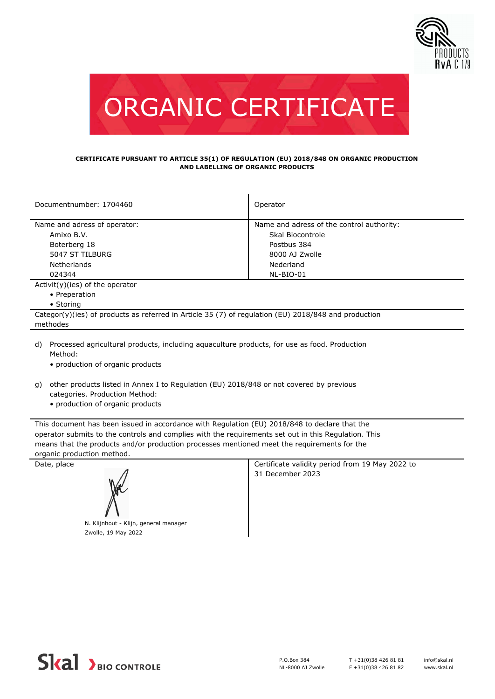



## **CERTIFICATE PURSUANT TO ARTICLE 35(1) OF REGULATION (EU) 2018/848 ON ORGANIC PRODUCTION AND LABELLING OF ORGANIC PRODUCTS**

| Documentnumber: 1704460                                                                                       | Operator                                  |  |  |  |
|---------------------------------------------------------------------------------------------------------------|-------------------------------------------|--|--|--|
| Name and adress of operator:                                                                                  | Name and adress of the control authority: |  |  |  |
| Amixo B.V.                                                                                                    | Skal Biocontrole                          |  |  |  |
| Boterberg 18                                                                                                  | Postbus 384                               |  |  |  |
| 5047 ST TILBURG                                                                                               | 8000 AJ Zwolle                            |  |  |  |
| <b>Netherlands</b>                                                                                            | Nederland                                 |  |  |  |
| 024344                                                                                                        | NL-BIO-01                                 |  |  |  |
| $Activity)(ies)$ of the operator                                                                              |                                           |  |  |  |
| • Preperation                                                                                                 |                                           |  |  |  |
| • Storing                                                                                                     |                                           |  |  |  |
| Categor(y)(ies) of products as referred in Article 35 (7) of regulation (EU) 2018/848 and production          |                                           |  |  |  |
| methodes                                                                                                      |                                           |  |  |  |
| Processed agricultural products, including aguaculture products, for use as food. Production<br>d)<br>Method: |                                           |  |  |  |

- production of organic products
- other products listed in Annex I to Regulation (EU) 2018/848 or not covered by previous g) categories. Production Method:
	- production of organic products

This document has been issued in accordance with Regulation (EU) 2018/848 to declare that the operator submits to the controls and complies with the requirements set out in this Regulation. This means that the products and/or production processes mentioned meet the requirements for the organic production method.



N. Klijnhout - Klijn, general manager Zwolle, 19 May 2022

Date, place **Certificate validity period from 19 May 2022 to** Certificate validity period from 19 May 2022 to 31 December 2023